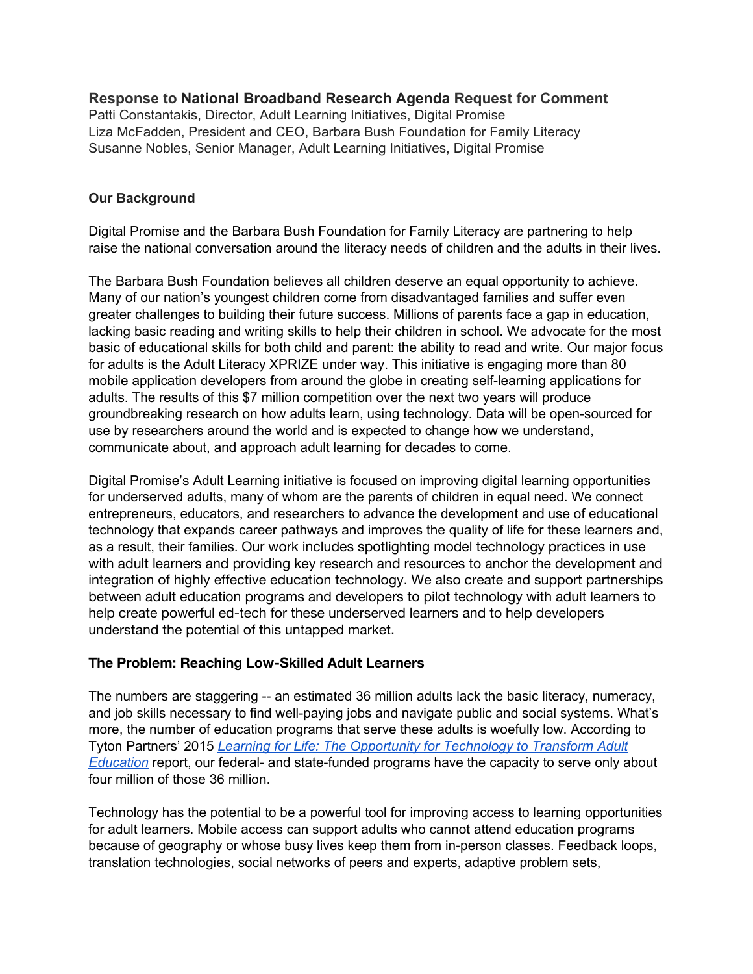**Response to National Broadband Research Agenda Request for Comment** Patti Constantakis, Director, Adult Learning Initiatives, Digital Promise Liza McFadden, President and CEO, Barbara Bush Foundation for Family Literacy Susanne Nobles, Senior Manager, Adult Learning Initiatives, Digital Promise

### **Our Background**

Digital Promise and the Barbara Bush Foundation for Family Literacy are partnering to help raise the national conversation around the literacy needs of children and the adults in their lives.

The Barbara Bush Foundation believes all children deserve an equal opportunity to achieve. Many of our nation's youngest children come from disadvantaged families and suffer even greater challenges to building their future success. Millions of parents face a gap in education, lacking basic reading and writing skills to help their children in school. We advocate for the most basic of educational skills for both child and parent: the ability to read and write. Our major focus for adults is the Adult Literacy XPRIZE under way. This initiative is engaging more than 80 mobile application developers from around the globe in creating self-learning applications for adults. The results of this \$7 million competition over the next two years will produce groundbreaking research on how adults learn, using technology. Data will be open-sourced for use by researchers around the world and is expected to change how we understand, communicate about, and approach adult learning for decades to come.

Digital Promise's Adult Learning initiative is focused on improving digital learning opportunities for underserved adults, many of whom are the parents of children in equal need. We connect entrepreneurs, educators, and researchers to advance the development and use of educational technology that expands career pathways and improves the quality of life for these learners and, as a result, their families. Our work includes [spotlighting model technology practices](http://digitalpromise.org/initiative/adult-learning/spotlight-on-practices/) in use with adult learners and providing [key research and resources](http://digitalpromise.org/initiative/adult-learning/key-research-and-organizations/) to anchor the development and integration of highly effective education technology. We also create and support partnerships between adult education programs and developers to pilot technology with adult learners to help create powerful ed-tech for these underserved learners and to help developers understand the potential of this untapped market.

# **The Problem: Reaching Low-Skilled Adult Learners**

The numbers are staggering -- an estimated 36 million adults lack the basic literacy, numeracy, and job skills necessary to find well-paying jobs and navigate public and social systems. What's more, the number of education programs that serve these adults is woefully low. According to Tyton Partners' 2015 *Learning for Life: The [Opportunity for Technology to](http://tytonpartners.com/tyton-wp/wp-content/uploads/2015/03/Learning-for-Life_The-Oppty-for-Tech-to-Transform-Adult-Education_March-20151.pdf) Transform Adult [Education](http://tytonpartners.com/tyton-wp/wp-content/uploads/2015/03/Learning-for-Life_The-Oppty-for-Tech-to-Transform-Adult-Education_March-20151.pdf)* report, our federal- and state-funded programs have the capacity to serve only about four million of those 36 million.

Technology has the potential to be a powerful tool for improving access to learning opportunities for adult learners. Mobile access can support adults who cannot attend education programs because of geography or whose busy lives keep them from in-person classes. Feedback loops, translation technologies, social networks of peers and experts, adaptive problem sets,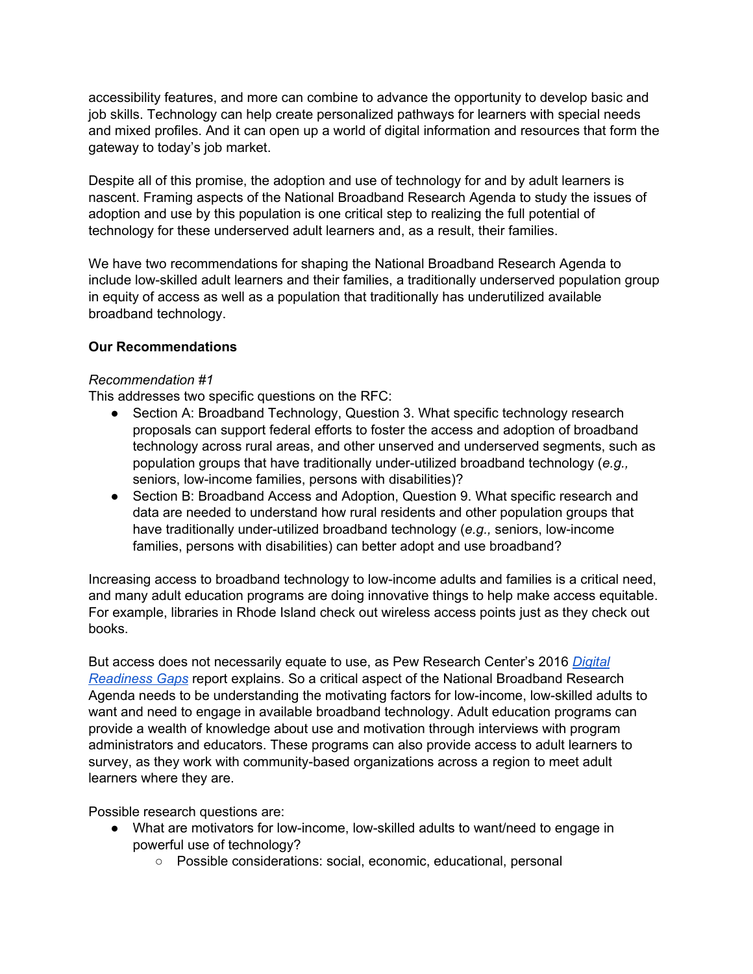accessibility features, and more can combine to advance the opportunity to develop basic and job skills. Technology can help create personalized pathways for learners with special needs and mixed profiles. And it can open up a world of digital information and resources that form the gateway to today's job market.

Despite all of this promise, the adoption and use of technology for and by adult learners is nascent. Framing aspects of the National Broadband Research Agenda to study the issues of adoption and use by this population is one critical step to realizing the full potential of technology for these underserved adult learners and, as a result, their families.

We have two recommendations for shaping the National Broadband Research Agenda to include low-skilled adult learners and their families, a traditionally underserved population group in equity of access as well as a population that traditionally has underutilized available broadband technology.

### **Our Recommendations**

#### *Recommendation #1*

This addresses two specific questions on the RFC:

- Section A: Broadband Technology, Question 3. What specific technology research proposals can support federal efforts to foster the access and adoption of broadband technology across rural areas, and other unserved and underserved segments, such as population groups that have traditionally under-utilized broadband technology (*e.g.,* seniors, low-income families, persons with disabilities)?
- Section B: Broadband Access and Adoption, Question 9. What specific research and data are needed to understand how rural residents and other population groups that have traditionally under-utilized broadband technology (*e.g.,* seniors, low-income families, persons with disabilities) can better adopt and use broadband?

Increasing access to broadband technology to low-income adults and families is a critical need, and many adult education programs are doing innovative things to help make access equitable. For example, libraries in Rhode Island check out wireless access points just as they check out books.

But access does not necessarily equate to use, as Pew Research Center's 2016 *[Digital](http://www.pewinternet.org/2016/09/20/digital-readiness-gaps/?utm_source=EdsurgeLive&utm_campaign=019fd34756-2016-09-21-EdSurge+Newsletter+Ver+293&utm_medium=email&utm_term=0_0f1ec25b60-019fd34756-292888829) [Readiness Gaps](http://www.pewinternet.org/2016/09/20/digital-readiness-gaps/?utm_source=EdsurgeLive&utm_campaign=019fd34756-2016-09-21-EdSurge+Newsletter+Ver+293&utm_medium=email&utm_term=0_0f1ec25b60-019fd34756-292888829)* report explains. So a critical aspect of the National Broadband Research Agenda needs to be understanding the motivating factors for low-income, low-skilled adults to want and need to engage in available broadband technology. Adult education programs can provide a wealth of knowledge about use and motivation through interviews with program administrators and educators. These programs can also provide access to adult learners to survey, as they work with community-based organizations across a region to meet adult learners where they are.

Possible research questions are:

- What are motivators for low-income, low-skilled adults to want/need to engage in powerful use of technology?
	- Possible considerations: social, economic, educational, personal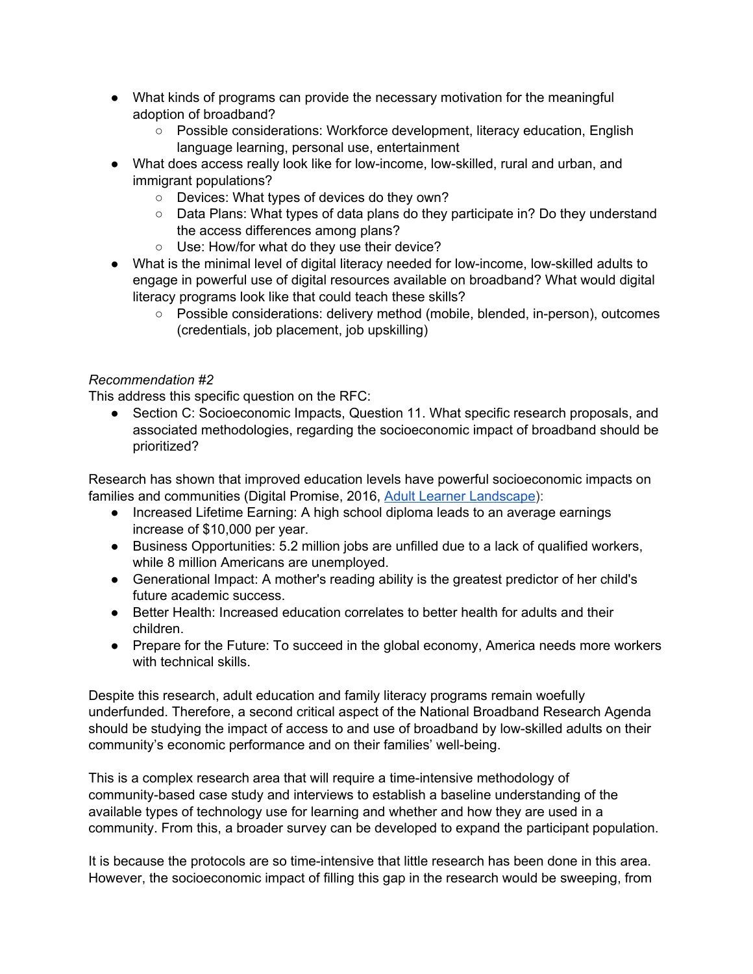- What kinds of programs can provide the necessary motivation for the meaningful adoption of broadband?
	- Possible considerations: Workforce development, literacy education, English language learning, personal use, entertainment
- What does access really look like for low-income, low-skilled, rural and urban, and immigrant populations?
	- Devices: What types of devices do they own?
	- Data Plans: What types of data plans do they participate in? Do they understand the access differences among plans?
	- Use: How/for what do they use their device?
- What is the minimal level of digital literacy needed for low-income, low-skilled adults to engage in powerful use of digital resources available on broadband? What would digital literacy programs look like that could teach these skills?
	- Possible considerations: delivery method (mobile, blended, in-person), outcomes (credentials, job placement, job upskilling)

# *Recommendation #2*

This address this specific question on the RFC:

• Section C: Socioeconomic Impacts, Question 11. What specific research proposals, and associated methodologies, regarding the socioeconomic impact of broadband should be prioritized?

Research has shown that improved education levels have powerful socioeconomic impacts on families and communities (Digital Promise, 2016, Adult [Learner Landscape\)](http://digitalpromise.org/wp-content/uploads/2016/07/quick-start-guide-adult-learner-landscape.pdf):

- Increased Lifetime Earning: A high school diploma leads to an average earnings increase of \$10,000 per year.
- Business Opportunities: 5.2 million jobs are unfilled due to a lack of qualified workers, while 8 million Americans are unemployed.
- Generational Impact: A mother's reading ability is the greatest predictor of her child's future academic success.
- Better Health: Increased education correlates to better health for adults and their children.
- Prepare for the Future: To succeed in the global economy, America needs more workers with technical skills.

Despite this research, adult education and family literacy programs remain woefully underfunded. Therefore, a second critical aspect of the National Broadband Research Agenda should be studying the impact of access to and use of broadband by low-skilled adults on their community's economic performance and on their families' well-being.

This is a complex research area that will require a time-intensive methodology of community-based case study and interviews to establish a baseline understanding of the available types of technology use for learning and whether and how they are used in a community. From this, a broader survey can be developed to expand the participant population.

It is because the protocols are so time-intensive that little research has been done in this area. However, the socioeconomic impact of filling this gap in the research would be sweeping, from